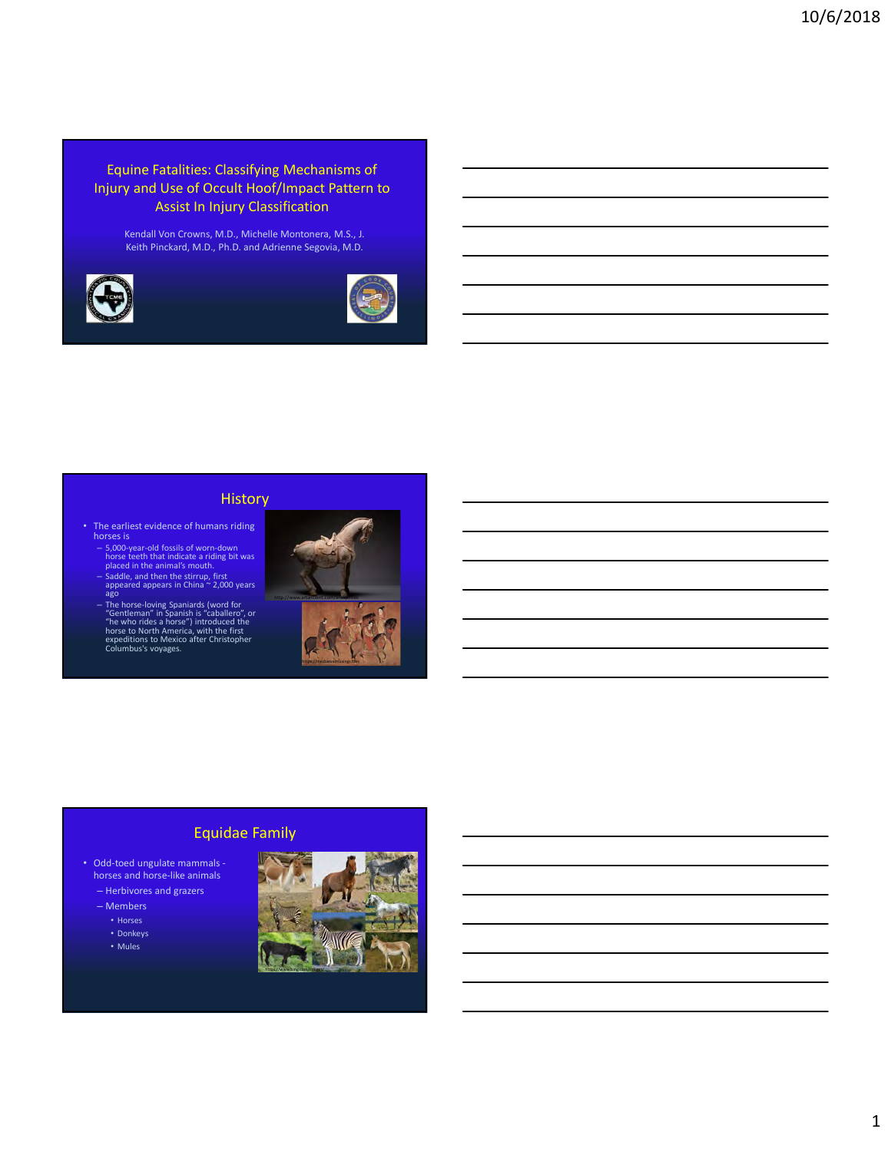### Equine Fatalities: Classifying Mechanisms of Injury and Use of Occult Hoof/Impact Pattern to Assist In Injury Classification

Kendall Von Crowns, M.D., Michelle Montonera, M.S., J. Keith Pinckard, M.D., Ph.D. and Adrienne Segovia, M.D.





#### **History**

- The earliest evidence of humans riding horses is
- 
- 
- 



## Equidae Family

- Odd-toed ungulate mammals horses and horse-like animals
	- Herbivores and grazers
	- Members
		- Horses
		- Donkeys
		-

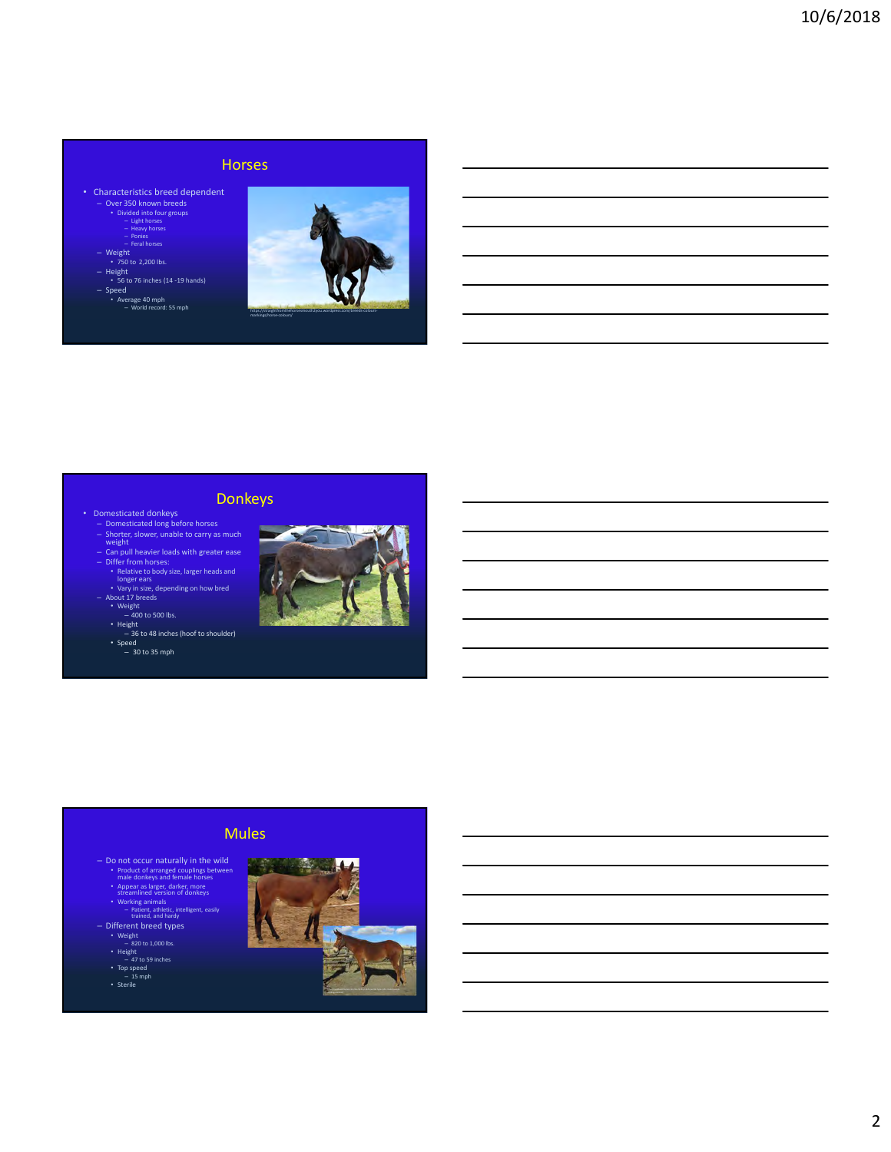### Horses

- Characteristics breed dependent
	-
	-
	-
	-
	-



#### Donkeys

- 
- 
- 
- 

+ Height<br>
- 36 to 48 inches (hoof to shoulder) • Speed – 30 to 35 mph



## Mules

- 
- 
- 
- 
- 
- 
- 
- 
- 

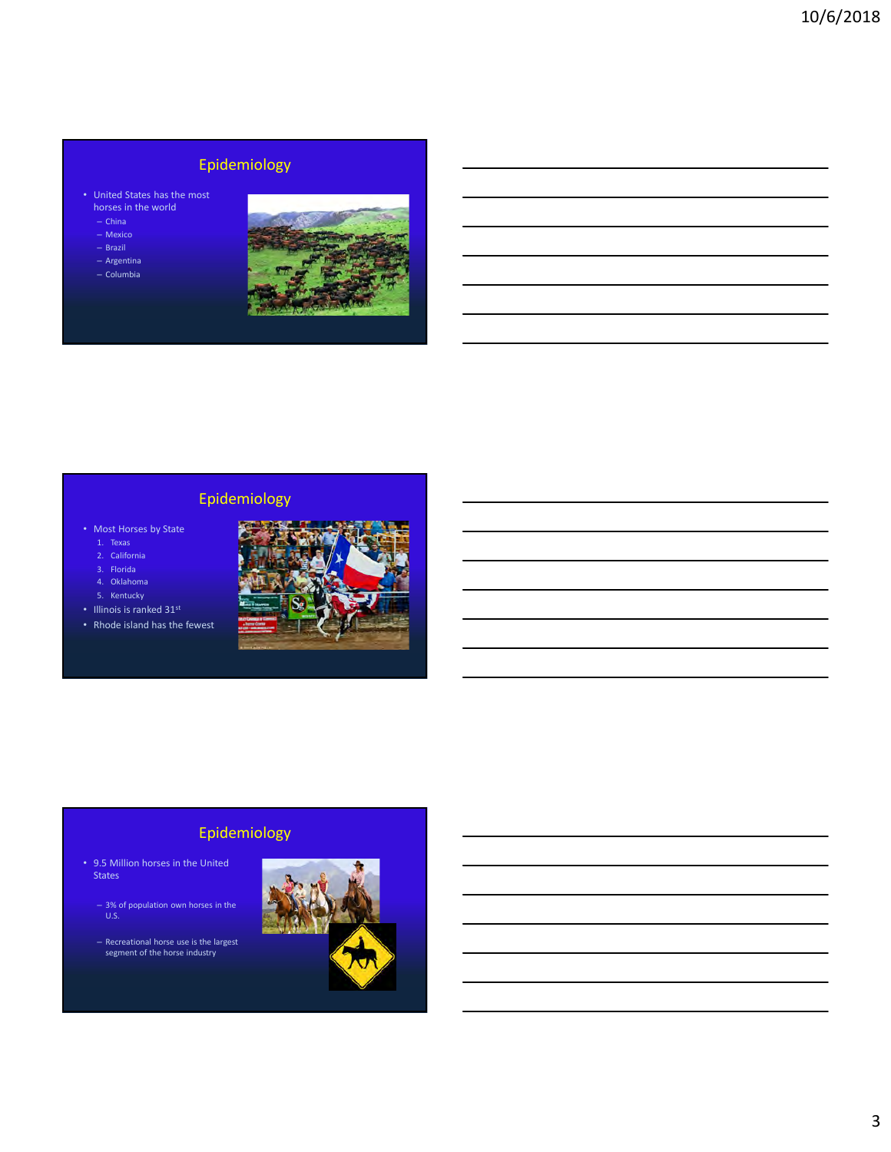## Epidemiology

- United States has the most
	-
	- Mexico
	- Brazil
	- Argentina
	- Columbia



# Epidemiology

- 
- 
- 
- 
- 
- Illinois is ranked 31st
- Rhode island has the fewest



## Epidemiology

- 9.5 Million horses in the United States
	- 3% of population own horses in the U.S.
	- Recreational horse use is the largest segment of the horse industry

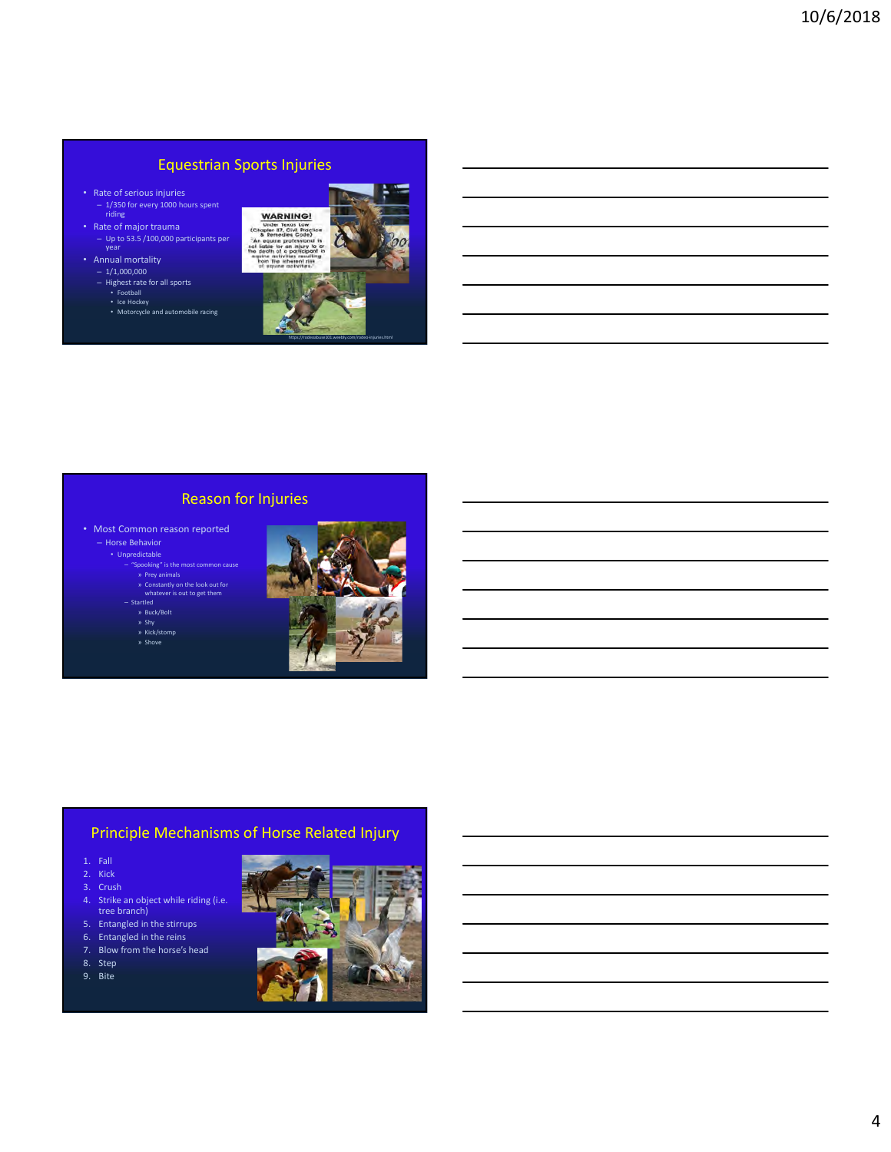## Equestrian Sports Injuries

- 
- 
- Annual mortality
- $-1/1,000,000$
- Highest rate for all sports
	-
	-



#### Reason for Injuries

• Most Common reason reported<br>
– Horse Behavior



### Principle Mechanisms of Horse Related Injury

- 
- 
- 
- 4. Strike an object while riding (i.e.<br>tree branch)<br>5. Entangled in the stirrups
- 
- 
- 
- 
- 

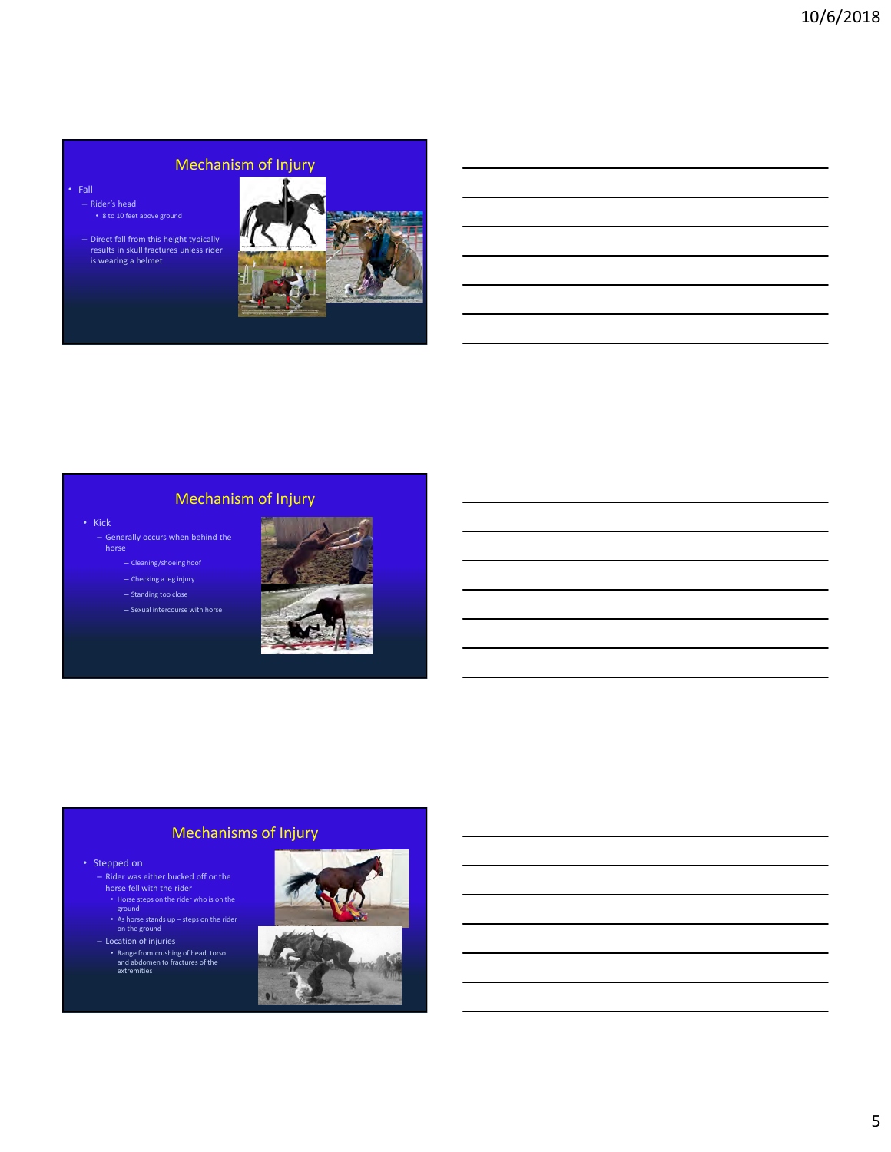## Mechanism of Injury

- Fall
	- Direct fall from this height typically results in skull fractures unless rider is wearing a helmet



## Mechanism of Injury

- Kick – Generally occurs when behind the horse
	- Cleaning/shoeing hoof
	- Checking a leg injury
	- Standing too close
	- Sexual intercourse with horse



## Mechanisms of Injury

- Stepped on
	-
	-
	- on the ground **the ground of the ground of the ground of the ground of the ground of the ground of the ground of the ground of the ground of the ground of the ground of the ground of the ground of the ground of the ground**
	-
	- Range from crushing of head, torso<br>and abdomen to fractures of the<br>extremities



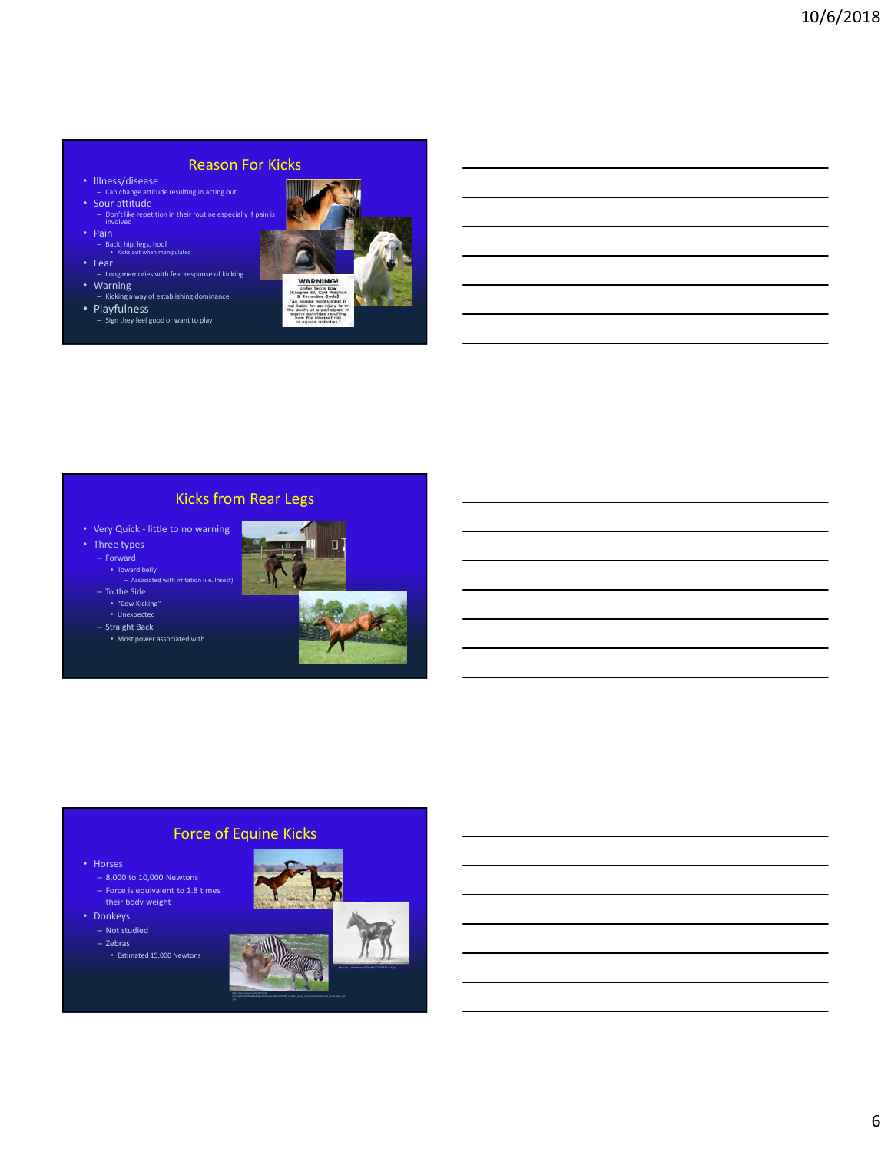### Reason For Kicks

- Illness/disease<br>- Can change attitude
- ulting in acting out • Sour attitude<br>- Don't like repetition in their routine especially if pain is – Don't like repetition is in the routine especially if paint is in the involved
- Pain
- Fear
- Long memories with fear response of kicking<br>Varning
- Sign they feel good or want to play



## Kicks from Rear Legs

- 
- Three types
	- Forward
	- Toward belly
	- To the Side
	-
	- Straight Back
	- Most power associated with



## Force of Equine Kicks

- Horses
	- 8,000 to 10,000 Newtons
- Donkeys
	- Not studied
	- Zebras
	- Estimated 15,000 Newtons

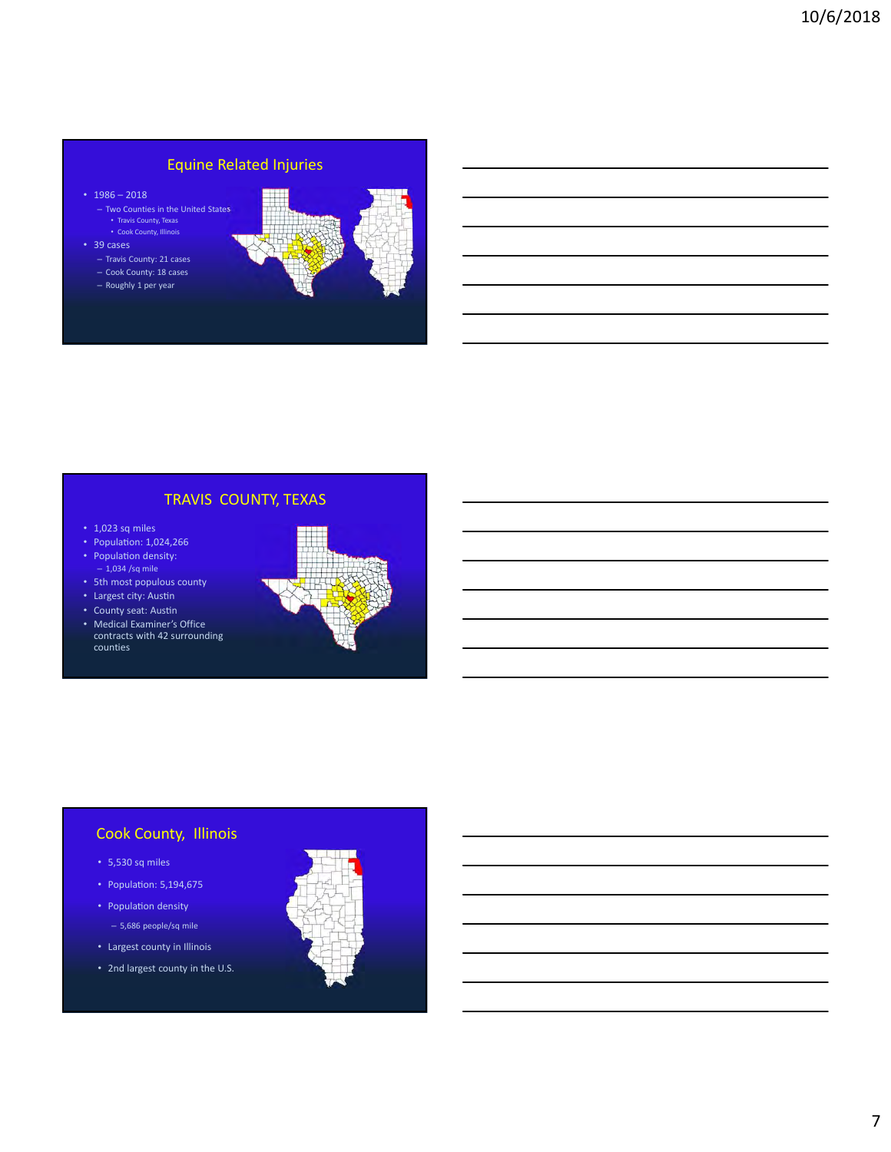## Equine Related Injuries

- -
- 39 cases
- Travis County: 21 cases
- Cook County: 18 cases
- Roughly 1 per year



- 
- 
- 
- 
- 
- 
- Medical Examiner's Office<br>
contracts with 42 surrounding counties



- 
- 
- 
- 
- 
- 

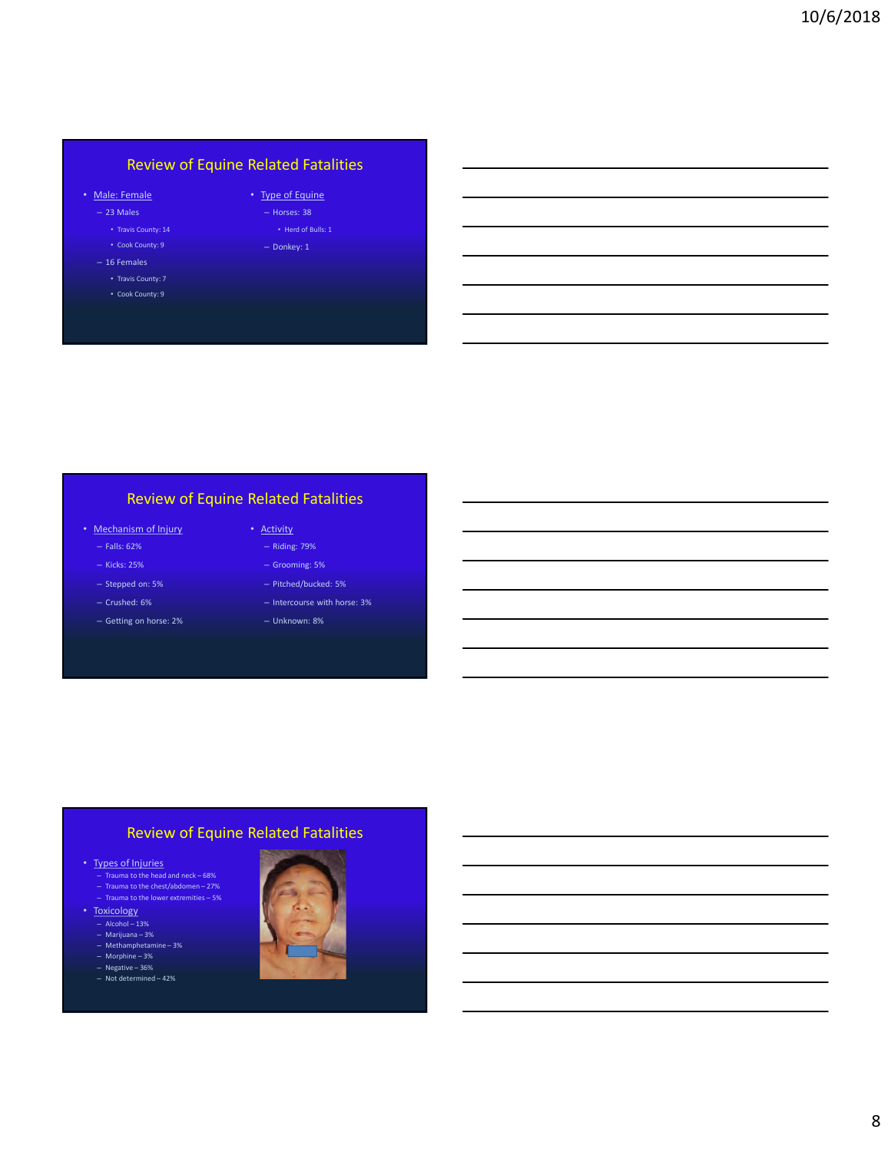## Review of Equine Related Fatalities

- Male: Female  **Type of Equine Type of Equine** 
	-
	- Travis County: 14
	- Cook County: 9
	- 16 Females
		- Travis County: 7
- 
- 
- 
- 
- Cook County: 9
- $-$  23 Males and  $\sim$  10 Males and  $\sim$  10 Males and  $\sim$  10 Males and  $\sim$  10 Males and  $\sim$  10 Males and  $\sim$  10 Males and  $\sim$  10 Males and  $\sim$  10 Males and  $\sim$  10 Males and  $\sim$  10 Males and  $\sim$  10 Males and  $\sim$  1
	- Donkey: 1
	-

## Review of Equine Related Fatalities

- Mechanism of Injury
	-
	-
	-
	-
	- Getting on horse: 2%
	- Falls: 62% Riding: 79%

• Activity

- Kicks: 25% Grooming: 5%
- Stepped on: 5% Pitched/bucked: 5%
- Crushed: 6% Intercourse with horse: 3%
	- Unknown: 8%

## Review of Equine Related Fatalities

- 
- <u>Types of Injuries</u><br>- Trauma to the head and neck 68%<br>- Trauma to the chest/abdomen 27%
	-
- 
- 
- Toxicology<br>
 Alcohol 13%<br>
 Marijuana 3%<br>
 Methamphetamine 3%
	-
	-
- declariation of Injury<br>  $\frac{1}{2}$  relative EX<br>  $\frac{1}{2}$  relative EX<br>  $\frac{1}{2}$  relative EX<br>  $\frac{1}{2}$  relative Construction of the construction of the construction of the construction of the construction of the construct – Trauma to the chest/abdomen – 27% – Trauma to the lower extremities – 5% – Rocks 25%<br>
– Stephend on 15%<br>
– Thermodel OK<br>
– Thermodel OK<br>
– Contage on Nords: 21%<br>
– Getting on Nords: 21%<br>
– Unchrower By<br>
Review of Equine Related Fatalities<br>
Press of Impurise<br>
Press of Impurise<br>
– Thermodel Cont – Stephend on SV<br>  $\rightarrow$  Stephend on SV<br>  $\rightarrow$  Charles 6%<br>  $\rightarrow$  Charles 6%<br>  $\rightarrow$  Charles 6%<br>  $\rightarrow$  Charles 6%<br>  $\rightarrow$  Charles 6%<br>  $\rightarrow$  Charles 8%<br>  $\rightarrow$  Charles 2%<br>  $\rightarrow$  Charles 8.2%<br>  $\rightarrow$  Charles and Stephend Charles between Ch – Pitcher/Located 37%<br>
— Pitcher/Located 37%<br>
— Crossec 6%<br>
— Intercounse with home 2%<br>
— Octone 8%<br>
<br>
Review of Equine Related Fatalities<br>
yes of injuries<br>
<br>
The Metham to change and the control of the state and control – Cruched: 6%<br>
– Moreovae With Increase 3%<br>
– Unitrowns B%<br>
– Unitrowns B%<br>
– Unitrowns B%<br>
Review of Equine Related Fatalities<br>
Special distributions – 2%<br>
– Tames to the beat extent<br>
– Tames to the boxe extentions – 2%<br> – Intercourse with lones 2%<br>
– Intercourse with lones 2%<br>
– Unknown B%<br>
– Continues 2%<br>
– Continues 2%<br>
– The Continues of Division<br>
The Continues – System is the continues – System of the Continues – System<br>
– Margaren – – Getting on hone: 2%<br>
Review of Equine Related Fatalities<br>
Yes of Injuries<br>
The analysis of Equine Related Fatalities<br>  $\frac{V_{\text{D}}}{V_{\text{D}}}\left(\frac{V_{\text{D}}}{V_{\text{D}}}\right)$ <br>
Contour by the contraction of the contraction of the con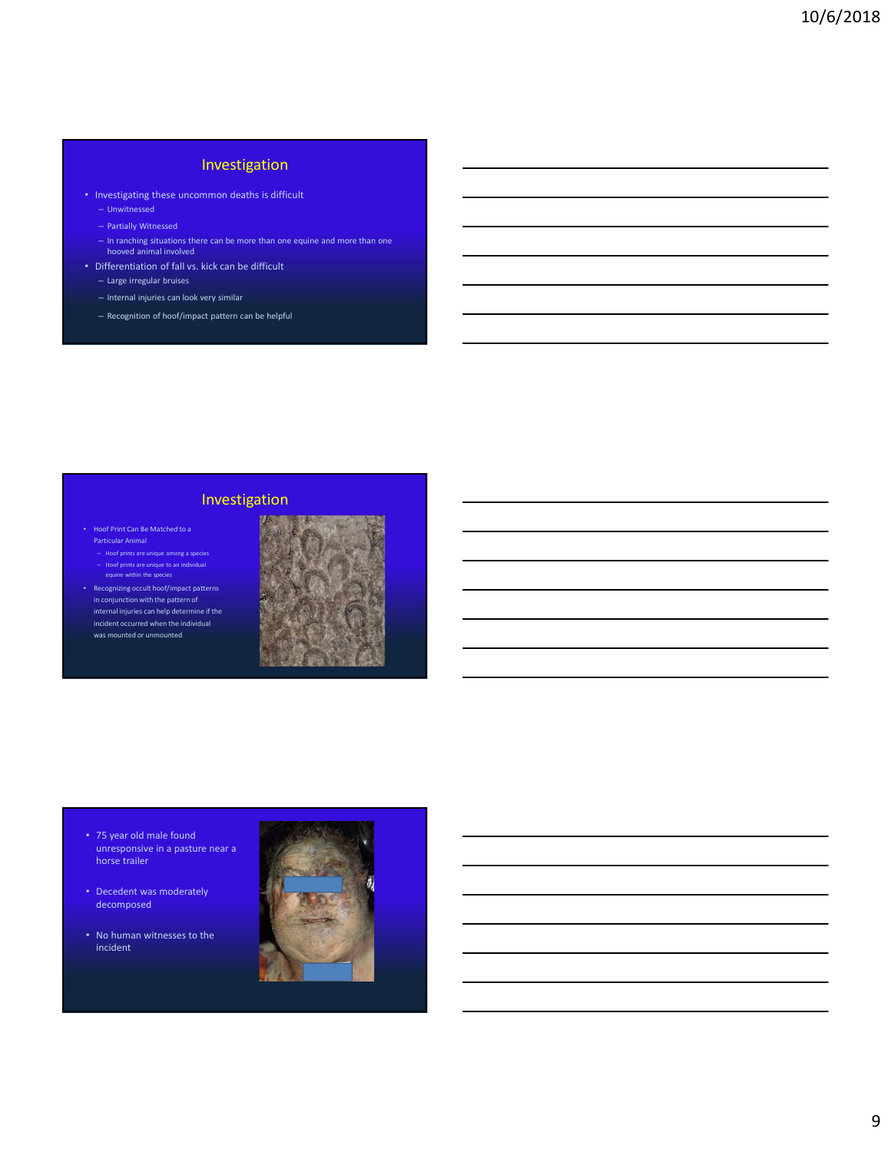## Investigation

- Investigating these uncommon deaths is difficult – Unwitnessed
	- Partially Witnessed
	- $-$  In ranching situations there can be more than one equine and more than one hooved animal involved
- Differentiation of fall vs. kick can be difficult
	- Large irregular bruises
	- Internal injuries can look very similar
	- Recognition of hoof/impact pattern can be helpful

#### Investigation

- Hoof Print Can Be Matched to a Particular Animal
	- Hoof prints are unique to an individual equine within the species
	-
- Recognizing occult hoof/impact patterns in conjunction with the pattern of incident occurred when the individual<br>was mounted or unmounted



- 75 year old male found unresponsive in a pasture near a horse trailer
- Decedent was moderately and the state of the state of the state of the state of the state of the state of the state of the state of the state of the state of the state of the state of the state of the state of the state
- No human witnesses to the incident

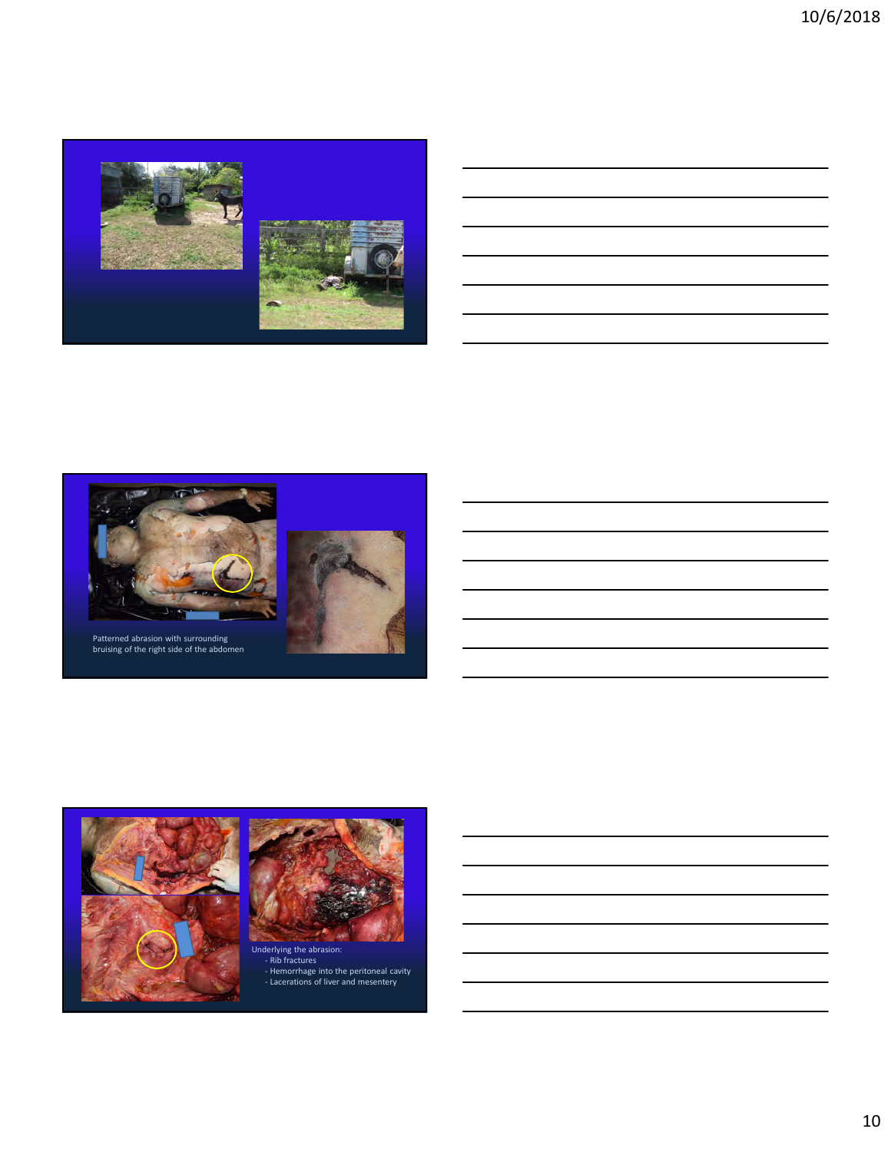



Patterned abrasion with surrounding<br>bruising of the right side of the abdomen



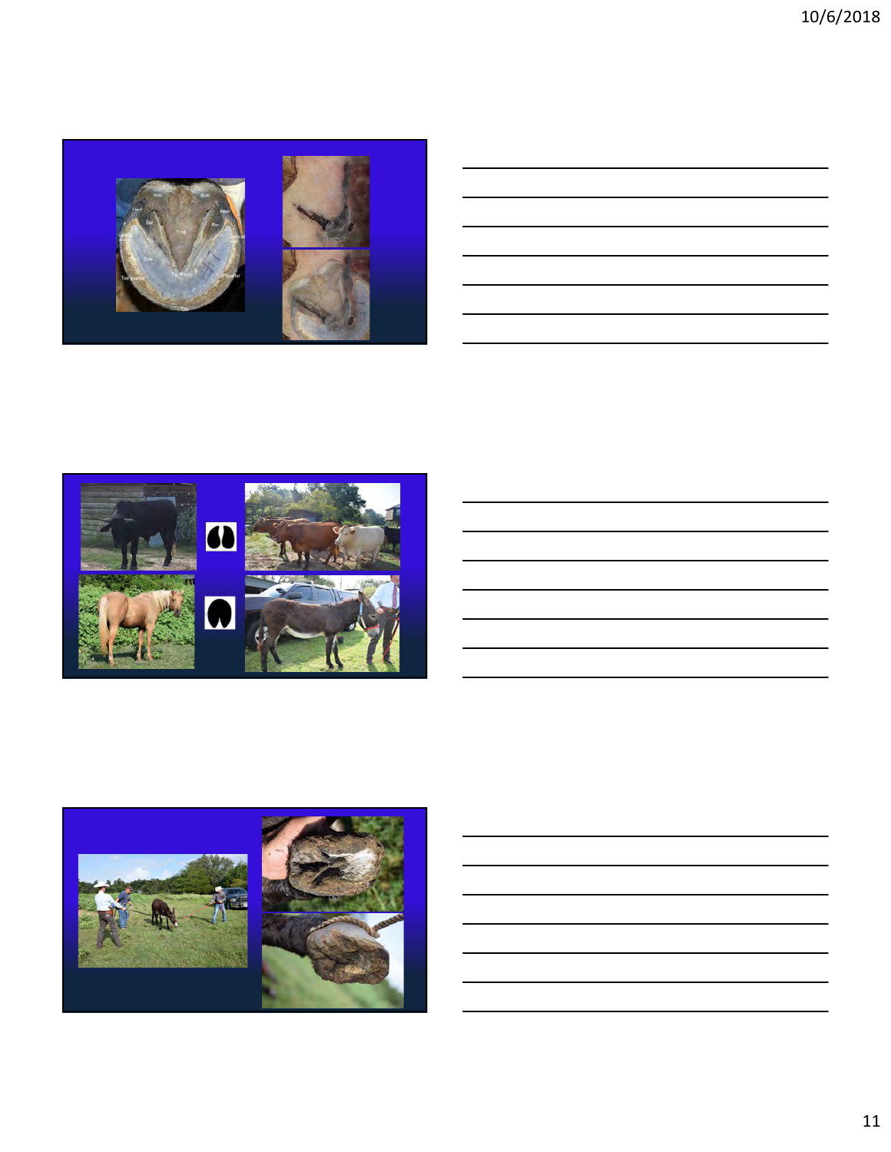

| <u> 1989 - Johann Stoff, amerikansk politiker (* 1908)</u>                                                            |  |  |
|-----------------------------------------------------------------------------------------------------------------------|--|--|
|                                                                                                                       |  |  |
| <u> 1989 - Johann Stoff, deutscher Stoff, der Stoff, der Stoff, der Stoff, der Stoff, der Stoff, der Stoff, der S</u> |  |  |
| <u> 1989 - Johann Stoff, deutscher Stoff, der Stoff, der Stoff, der Stoff, der Stoff, der Stoff, der Stoff, der S</u> |  |  |
|                                                                                                                       |  |  |



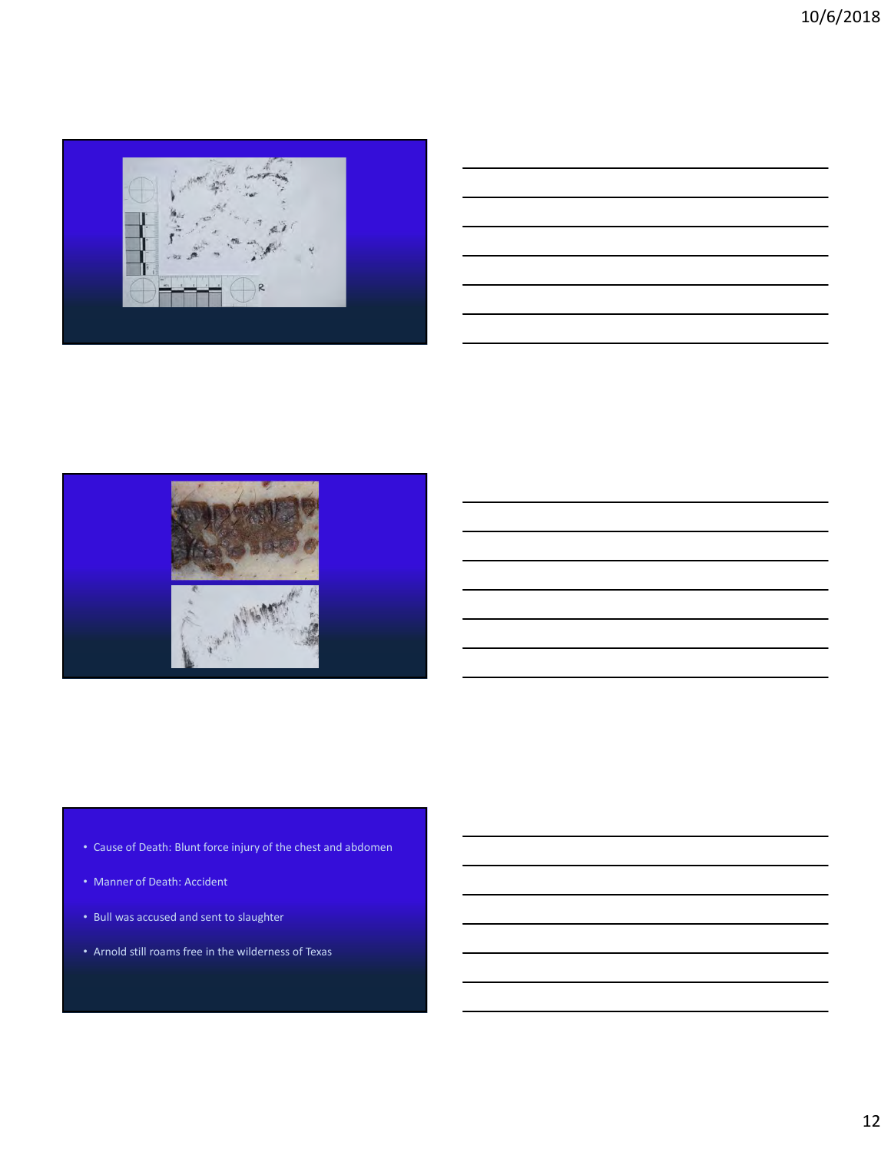



- Cause of Death: Blunt force injury of the chest and abdomen
- Manner of Death: Accident
- Bull was accused and sent to slaughter
- Arnold still roams free in the wilderness of Texas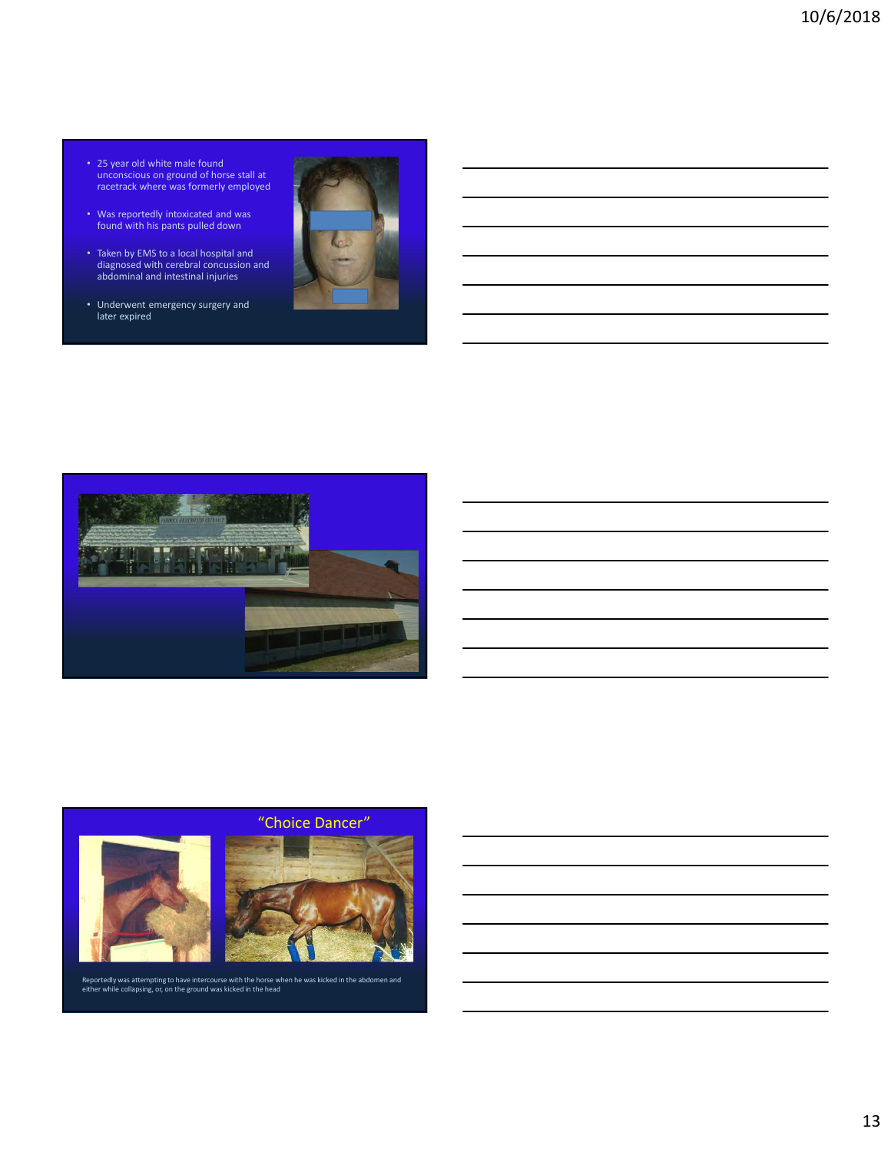- 25 year old white male found<br>
unconscious on ground of horse stall at<br>
racetrack where was formerly employed
- Was reportedly intoxicated and was found with his pants pulled down
- Taken by EMS to a local hospital and diagnosed with cerebral concussion and abdominal and intestinal injuries
- Underwent emergency surgery and later expired







Reportedly was attempting to have intercourse with the horse when he was kicked in the abdomen and either while collapsing, or, on the ground was kicked in the head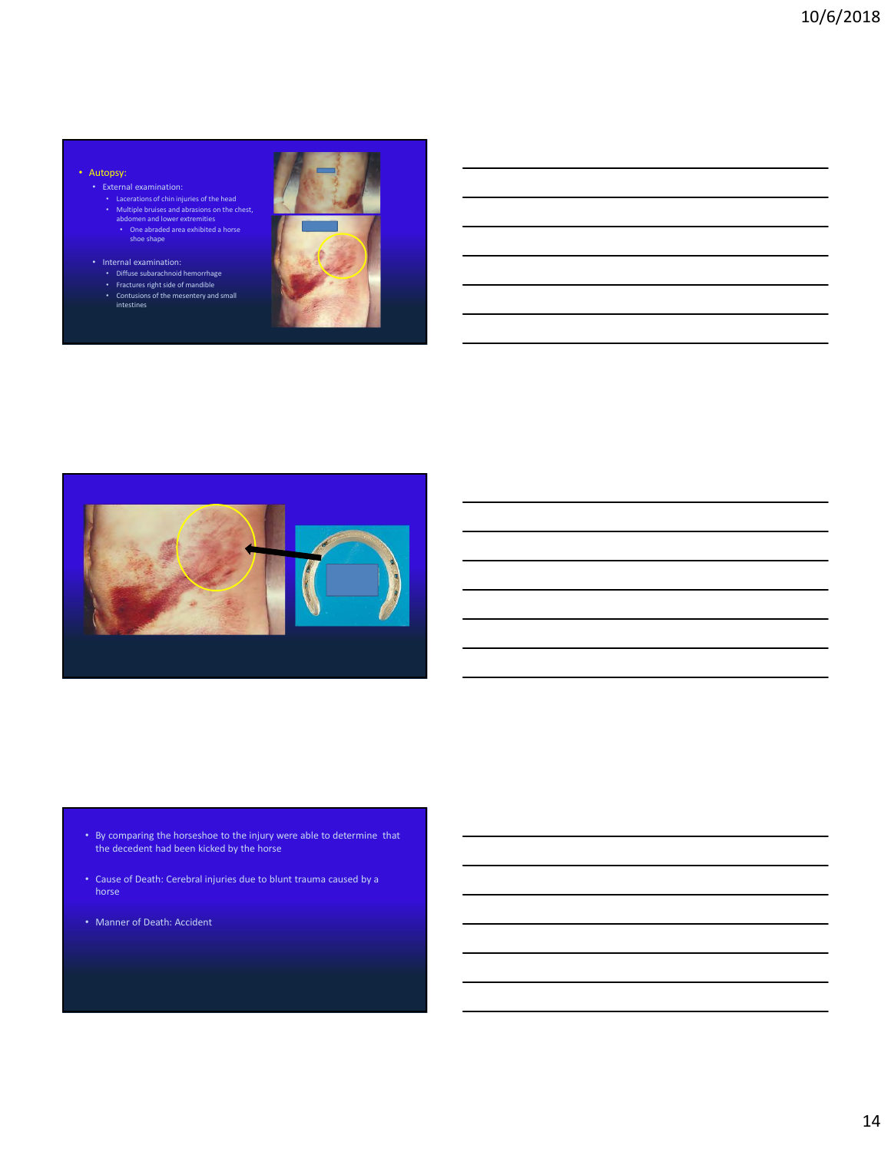#### • Autopsy:

- 
- 
- 

- 
- Contusions of the mesentery and small<br>intestines





- By comparing the horseshoe to the injury were able to determine that **Figure 2016** the decedent had been kicked by the horse
- Cause of Death: Cerebral injuries due to blunt trauma caused by a horse and the contract of the contract of the contract of the contract of the contract of the contract of the
- Manner of Death: Accident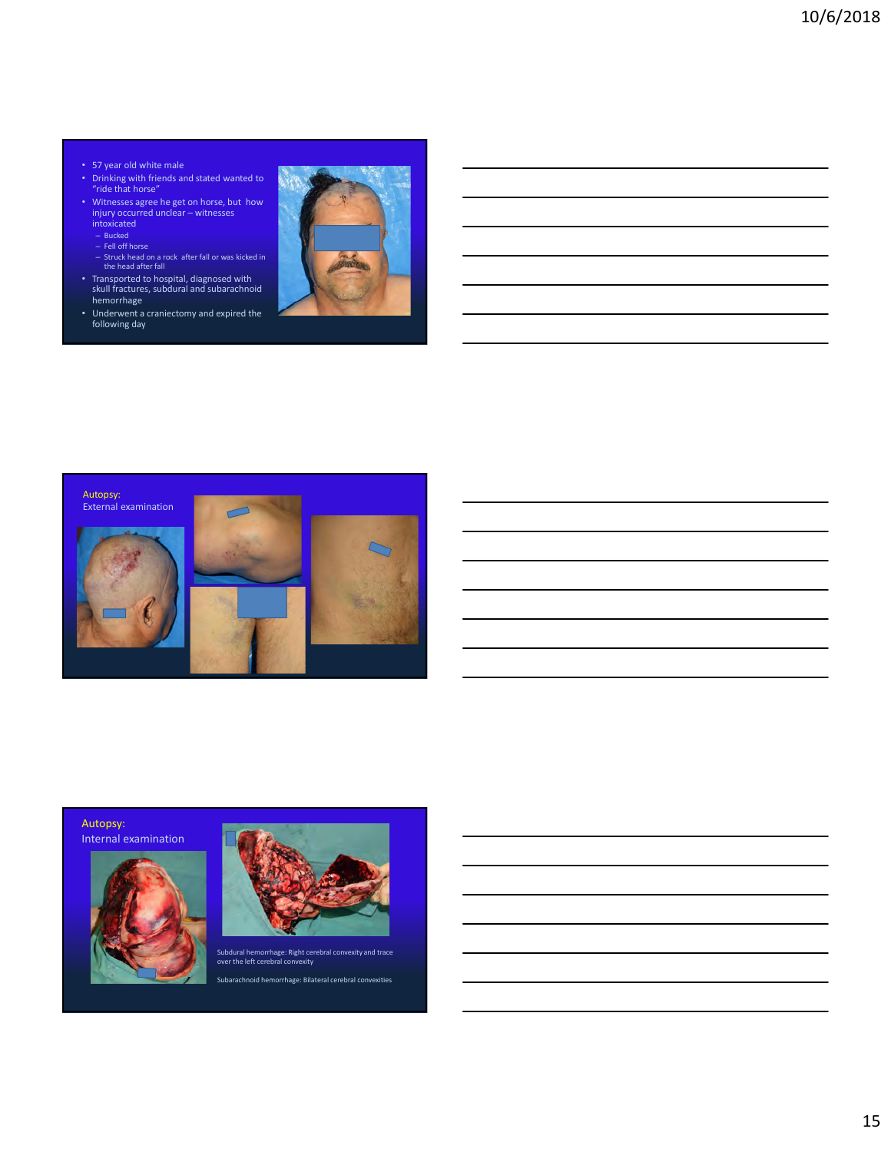- 
- Drinking with friends and stated wanted to "ride that horse"
- Witnesses agree he get on horse, but how the state of the state of the state of the state of the state of the state of the state of the state of the state of the state of the state of the state of the state of the state
	-
	-
- Transported to hospital, diagnosed with<br>
skull fractures, subdural and subarachnoid hemorrhage
- Underwent a craniectomy and expired the **the contract of the state of the state of the state of the state of the state of the state of the state of the state of the state of the state of the state of the state of the sta**





Autopsy: Internal examination





Subdural hemorrhage: Right cerebral convexity and trace over the left cerebral convexity Subarachnoid hemorrhage: Bilateral cerebral convexities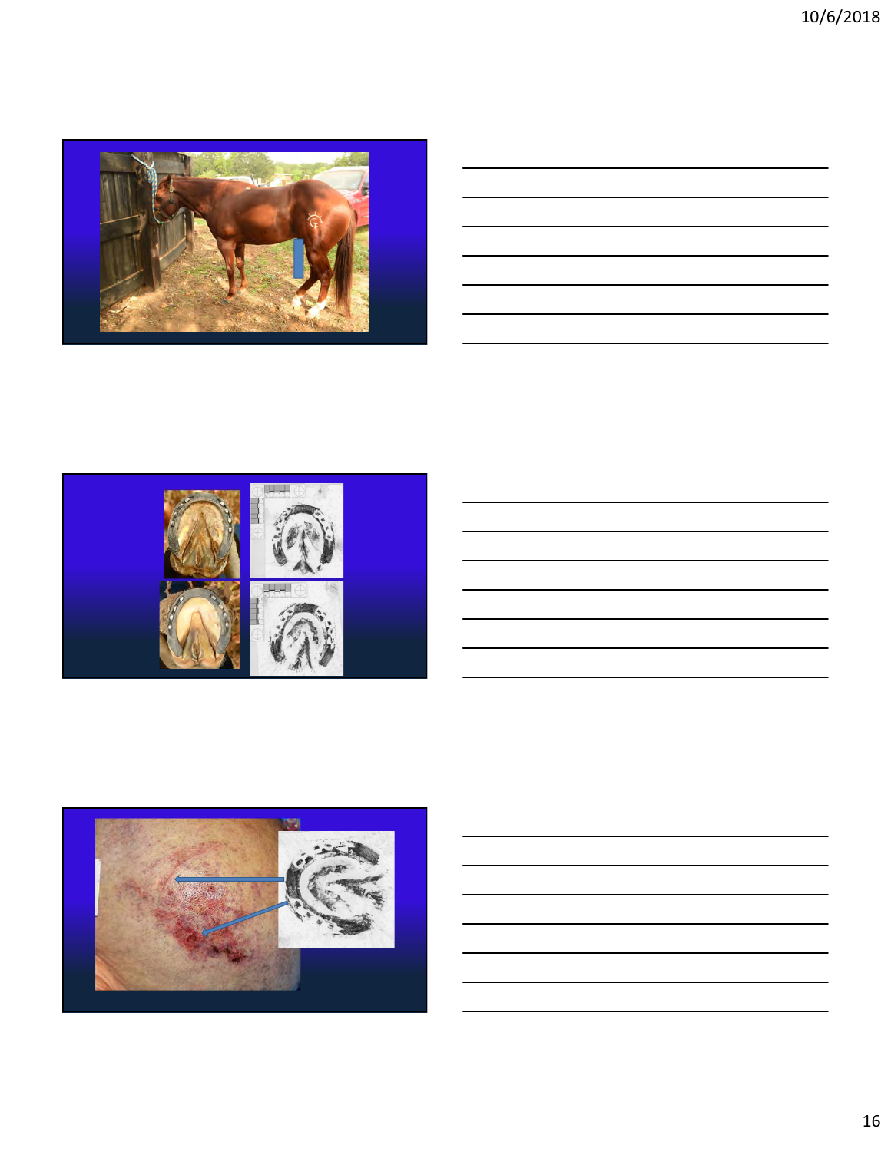

| <b>这个人的人都是一个人的人,我们也不能在这个人的人,我们也不能在这个人的人,我们也不能在这个人的人,我们也不能在这个人的人,我们也不能在这个人的人,</b>                                       |  |                                   |  |
|------------------------------------------------------------------------------------------------------------------------|--|-----------------------------------|--|
|                                                                                                                        |  |                                   |  |
| <u> 1989 - Johann Stoff, deutscher Stoff, der Stoff, der Stoff, der Stoff, der Stoff, der Stoff, der Stoff, der S</u>  |  |                                   |  |
| <u> 1989 - Andrea Andrew Maria (h. 1989).</u>                                                                          |  |                                   |  |
| <u> 1989 - Johann Stoff, deutscher Stoffen und der Stoffen und der Stoffen und der Stoffen und der Stoffen und der</u> |  |                                   |  |
| <u> 1989 - Johann Stein, markin sanadi masjid asl nashrida masjid asl nashrida masjid asl nashrida masjid asl na</u>   |  | the control of the control of the |  |
|                                                                                                                        |  |                                   |  |